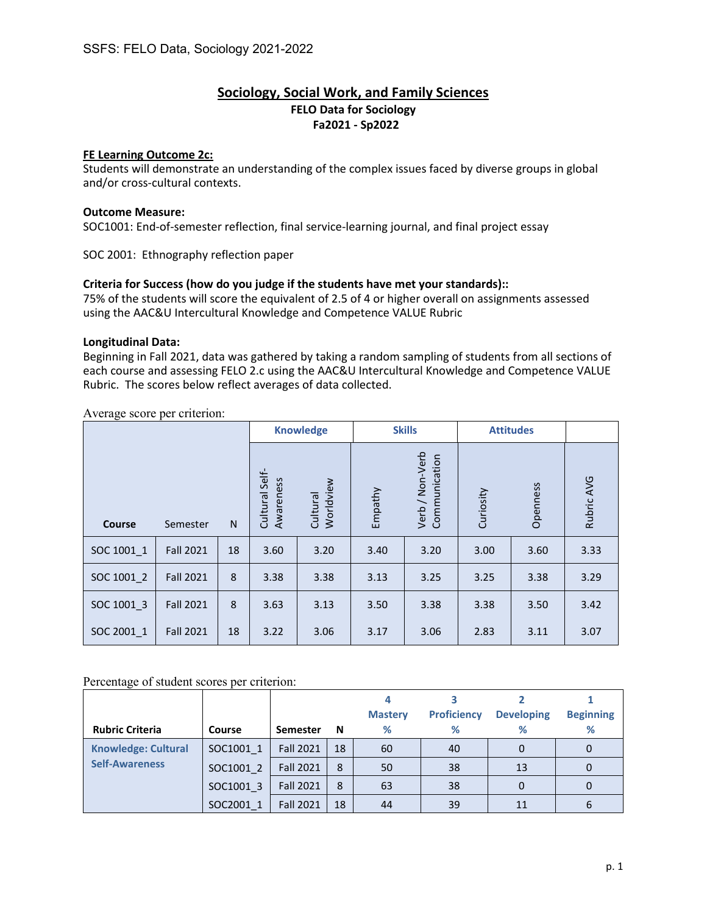## **Sociology, Social Work, and Family Sciences FELO Data for Sociology Fa2021 - Sp2022**

## **FE Learning Outcome 2c:**

Students will demonstrate an understanding of the complex issues faced by diverse groups in global and/or cross-cultural contexts.

### **Outcome Measure:**

SOC1001: End-of-semester reflection, final service-learning journal, and final project essay

SOC 2001: Ethnography reflection paper

## **Criteria for Success (how do you judge if the students have met your standards)::**

75% of the students will score the equivalent of 2.5 of 4 or higher overall on assignments assessed using the AAC&U Intercultural Knowledge and Competence VALUE Rubric

#### **Longitudinal Data:**

Beginning in Fall 2021, data was gathered by taking a random sampling of students from all sections of each course and assessing FELO 2.c using the AAC&U Intercultural Knowledge and Competence VALUE Rubric. The scores below reflect averages of data collected.

Average score per criterion:

|            |                  |    |                                | <b>Knowledge</b>      |         | <b>Skills</b>                    |           | <b>Attitudes</b> |            |
|------------|------------------|----|--------------------------------|-----------------------|---------|----------------------------------|-----------|------------------|------------|
| Course     | Semester         | N  | Self-<br>Awareness<br>Cultural | Worldview<br>Cultural | Empathy | Verb / Non-Verb<br>Communication | Curiosity | Openness         | Rubric AVG |
| SOC 1001 1 | <b>Fall 2021</b> | 18 | 3.60                           | 3.20                  | 3.40    | 3.20                             | 3.00      | 3.60             | 3.33       |
| SOC 1001 2 | <b>Fall 2021</b> | 8  | 3.38                           | 3.38                  | 3.13    | 3.25                             | 3.25      | 3.38             | 3.29       |
| SOC 1001 3 | <b>Fall 2021</b> | 8  | 3.63                           | 3.13                  | 3.50    | 3.38                             | 3.38      | 3.50             | 3.42       |
| SOC 2001_1 | <b>Fall 2021</b> | 18 | 3.22                           | 3.06                  | 3.17    | 3.06                             | 2.83      | 3.11             | 3.07       |

### Percentage of student scores per criterion:

|                            |                        |                  |    | <b>Mastery</b> | <b>Proficiency</b> | <b>Developing</b> | <b>Beginning</b> |
|----------------------------|------------------------|------------------|----|----------------|--------------------|-------------------|------------------|
| <b>Rubric Criteria</b>     | Course                 | <b>Semester</b>  | N  | %              | %                  | ℅                 | %                |
| <b>Knowledge: Cultural</b> | SOC1001 1              | <b>Fall 2021</b> | 18 | 60             | 40                 | 0                 | 0                |
| <b>Self-Awareness</b>      | SOC1001 2<br>SOC1001 3 | <b>Fall 2021</b> | 8  | 50             | 38                 | 13                | 0                |
|                            |                        | <b>Fall 2021</b> | 8  | 63             | 38                 | 0                 | 0                |
|                            | SOC2001 1              | <b>Fall 2021</b> | 18 | 44             | 39                 | 11                | 6                |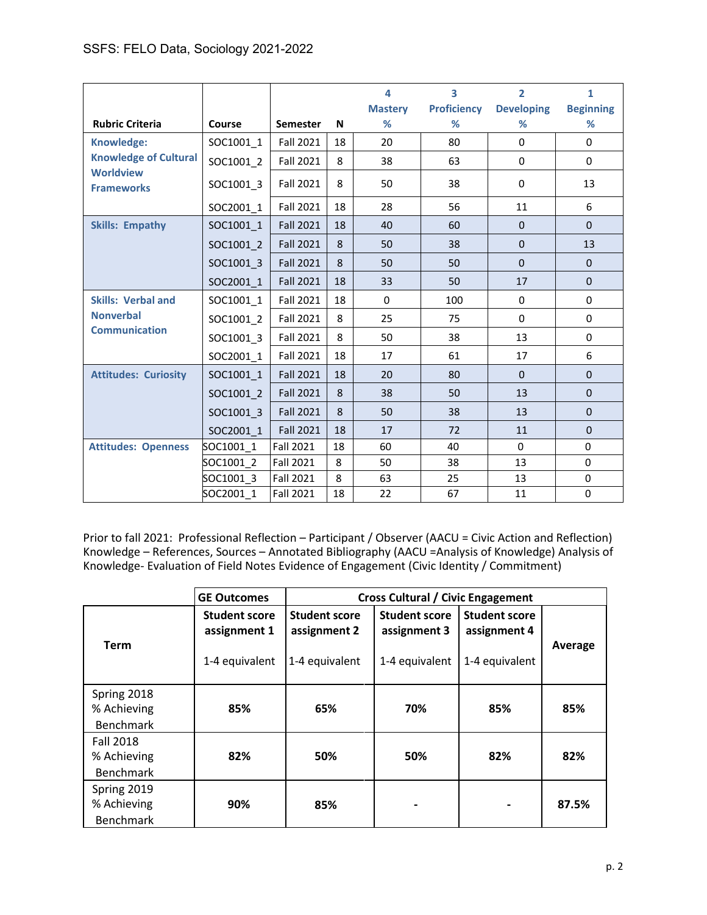|                                       |           |                  |    | 4                   | 3                       | $\overline{2}$         | $\mathbf{1}$          |
|---------------------------------------|-----------|------------------|----|---------------------|-------------------------|------------------------|-----------------------|
| <b>Rubric Criteria</b>                | Course    | <b>Semester</b>  | N  | <b>Mastery</b><br>% | <b>Proficiency</b><br>% | <b>Developing</b><br>% | <b>Beginning</b><br>% |
| Knowledge:                            | SOC1001 1 | <b>Fall 2021</b> | 18 | 20                  | 80                      | $\Omega$               | 0                     |
| <b>Knowledge of Cultural</b>          | SOC1001_2 | <b>Fall 2021</b> | 8  | 38                  | 63                      | 0                      | $\mathbf 0$           |
| <b>Worldview</b><br><b>Frameworks</b> | SOC1001_3 | <b>Fall 2021</b> | 8  | 50                  | 38                      | 0                      | 13                    |
|                                       | SOC2001_1 | <b>Fall 2021</b> | 18 | 28                  | 56                      | 11                     | 6                     |
| <b>Skills: Empathy</b>                | SOC1001 1 | <b>Fall 2021</b> | 18 | 40                  | 60                      | $\Omega$               | $\Omega$              |
|                                       | SOC1001 2 | <b>Fall 2021</b> | 8  | 50                  | 38                      | $\Omega$               | 13                    |
|                                       | SOC1001 3 | <b>Fall 2021</b> | 8  | 50                  | 50                      | $\mathbf 0$            | $\mathbf 0$           |
|                                       | SOC2001 1 | <b>Fall 2021</b> | 18 | 33                  | 50                      | 17                     | $\Omega$              |
| <b>Skills: Verbal and</b>             | SOC1001_1 | <b>Fall 2021</b> | 18 | $\mathbf{0}$        | 100                     | $\Omega$               | 0                     |
| <b>Nonverbal</b>                      | SOC1001 2 | <b>Fall 2021</b> | 8  | 25                  | 75                      | 0                      | 0                     |
| <b>Communication</b>                  | SOC1001_3 | <b>Fall 2021</b> | 8  | 50                  | 38                      | 13                     | $\mathbf 0$           |
|                                       | SOC2001 1 | <b>Fall 2021</b> | 18 | 17                  | 61                      | 17                     | 6                     |
| <b>Attitudes: Curiosity</b>           | SOC1001_1 | <b>Fall 2021</b> | 18 | 20                  | 80                      | $\Omega$               | $\Omega$              |
|                                       | SOC1001 2 | <b>Fall 2021</b> | 8  | 38                  | 50                      | 13                     | $\mathbf 0$           |
|                                       | SOC1001 3 | <b>Fall 2021</b> | 8  | 50                  | 38                      | 13                     | $\mathbf 0$           |
|                                       | SOC2001 1 | <b>Fall 2021</b> | 18 | 17                  | 72                      | 11                     | $\mathbf 0$           |
| <b>Attitudes: Openness</b>            | SOC1001 1 | <b>Fall 2021</b> | 18 | 60                  | 40                      | $\Omega$               | $\Omega$              |
|                                       | SOC1001 2 | Fall 2021        | 8  | 50                  | 38                      | 13                     | 0                     |
|                                       | SOC1001 3 | Fall 2021        | 8  | 63                  | 25                      | 13                     | 0                     |
|                                       | SOC2001 1 | <b>Fall 2021</b> | 18 | 22                  | 67                      | 11                     | 0                     |

Prior to fall 2021: Professional Reflection – Participant / Observer (AACU = Civic Action and Reflection) Knowledge – References, Sources – Annotated Bibliography (AACU =Analysis of Knowledge) Analysis of Knowledge- Evaluation of Field Notes Evidence of Engagement (Civic Identity / Commitment)

|                                                     | <b>GE Outcomes</b>                                     |                                                        | <b>Cross Cultural / Civic Engagement</b>               |                                                        |         |  |  |  |  |
|-----------------------------------------------------|--------------------------------------------------------|--------------------------------------------------------|--------------------------------------------------------|--------------------------------------------------------|---------|--|--|--|--|
| <b>Term</b>                                         | <b>Student score</b><br>assignment 1<br>1-4 equivalent | <b>Student score</b><br>assignment 2<br>1-4 equivalent | <b>Student score</b><br>assignment 3<br>1-4 equivalent | <b>Student score</b><br>assignment 4<br>1-4 equivalent | Average |  |  |  |  |
| Spring 2018<br>% Achieving<br><b>Benchmark</b>      | 85%                                                    | 65%                                                    | 70%                                                    | 85%                                                    | 85%     |  |  |  |  |
| <b>Fall 2018</b><br>% Achieving<br><b>Benchmark</b> | 82%                                                    | 50%                                                    | 50%                                                    | 82%                                                    | 82%     |  |  |  |  |
| Spring 2019<br>% Achieving<br><b>Benchmark</b>      | 90%                                                    | 85%                                                    |                                                        | $\blacksquare$                                         | 87.5%   |  |  |  |  |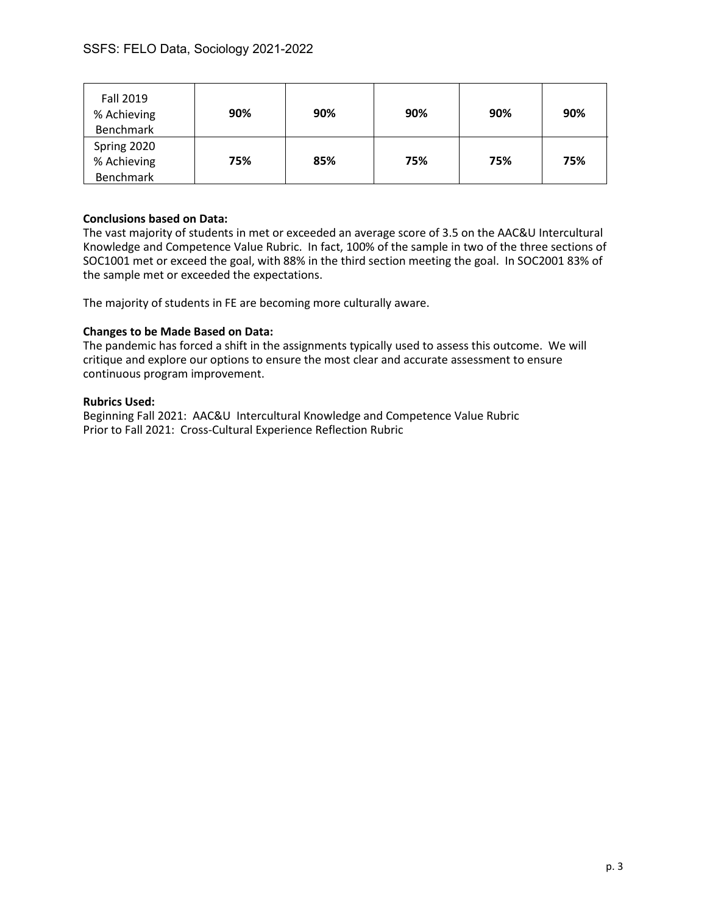| Fall 2019<br>% Achieving<br><b>Benchmark</b>   | 90% | 90% | 90% | 90% | 90% |
|------------------------------------------------|-----|-----|-----|-----|-----|
| Spring 2020<br>% Achieving<br><b>Benchmark</b> | 75% | 85% | 75% | 75% | 75% |

## **Conclusions based on Data:**

The vast majority of students in met or exceeded an average score of 3.5 on the AAC&U Intercultural Knowledge and Competence Value Rubric. In fact, 100% of the sample in two of the three sections of SOC1001 met or exceed the goal, with 88% in the third section meeting the goal. In SOC2001 83% of the sample met or exceeded the expectations.

The majority of students in FE are becoming more culturally aware.

## **Changes to be Made Based on Data:**

The pandemic has forced a shift in the assignments typically used to assess this outcome. We will critique and explore our options to ensure the most clear and accurate assessment to ensure continuous program improvement.

#### **Rubrics Used:**

Beginning Fall 2021: AAC&U Intercultural Knowledge and Competence Value Rubric Prior to Fall 2021: Cross-Cultural Experience Reflection Rubric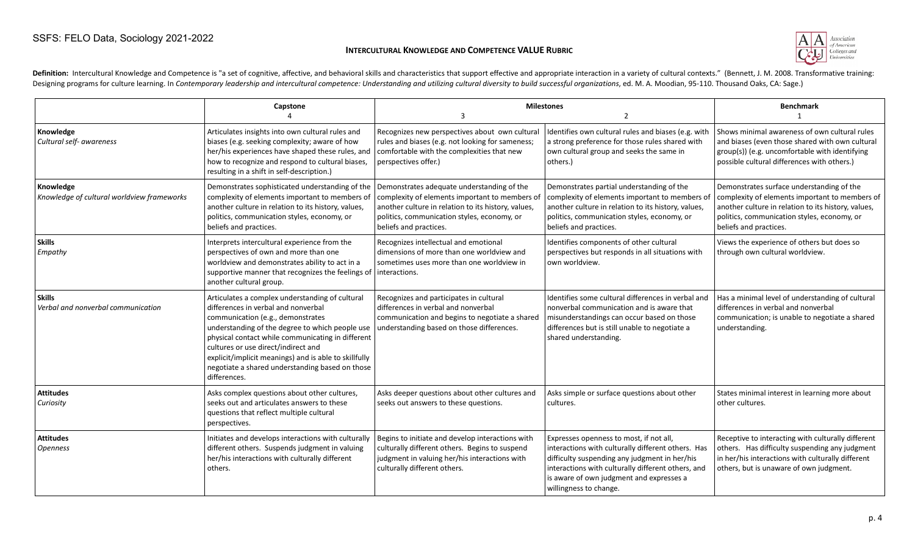#### **INTERCULTURAL KNOWLEDGE AND COMPETENCE VALUE RUBRIC**



Definition: Intercultural Knowledge and Competence is "a set of cognitive, affective, and behavioral skills and characteristics that support effective and appropriate interaction in a variety of cultural contexts." (Bennet Designing programs for culture learning. In Contemporary leadership and intercultural competence: Understanding and utilizing cultural diversity to build successful organizations, ed. M. A. Moodian, 95-110. Thousand Oaks,

|                                                         | Capstone                                                                                                                                                                                                                                                                                                                                                                                               | 3                                                                                                                                                                                                                           | <b>Milestones</b><br>$\overline{2}$                                                                                                                                                                                                                                        | <b>Benchmark</b>                                                                                                                                                                                                            |
|---------------------------------------------------------|--------------------------------------------------------------------------------------------------------------------------------------------------------------------------------------------------------------------------------------------------------------------------------------------------------------------------------------------------------------------------------------------------------|-----------------------------------------------------------------------------------------------------------------------------------------------------------------------------------------------------------------------------|----------------------------------------------------------------------------------------------------------------------------------------------------------------------------------------------------------------------------------------------------------------------------|-----------------------------------------------------------------------------------------------------------------------------------------------------------------------------------------------------------------------------|
| Knowledge<br>Cultural self- awareness                   | Articulates insights into own cultural rules and<br>biases (e.g. seeking complexity; aware of how<br>her/his experiences have shaped these rules, and<br>how to recognize and respond to cultural biases,<br>resulting in a shift in self-description.)                                                                                                                                                | Recognizes new perspectives about own cultural<br>rules and biases (e.g. not looking for sameness;<br>comfortable with the complexities that new<br>perspectives offer.)                                                    | Identifies own cultural rules and biases (e.g. with<br>a strong preference for those rules shared with<br>own cultural group and seeks the same in<br>others.)                                                                                                             | Shows minimal awareness of own cultural rules<br>and biases (even those shared with own cultural<br>group(s)) (e.g. uncomfortable with identifying<br>possible cultural differences with others.)                           |
| Knowledge<br>Knowledge of cultural worldview frameworks | Demonstrates sophisticated understanding of the<br>complexity of elements important to members of<br>another culture in relation to its history, values,<br>politics, communication styles, economy, or<br>beliefs and practices.                                                                                                                                                                      | Demonstrates adequate understanding of the<br>complexity of elements important to members o<br>another culture in relation to its history, values,<br>politics, communication styles, economy, or<br>beliefs and practices. | Demonstrates partial understanding of the<br>complexity of elements important to members of<br>another culture in relation to its history, values,<br>politics, communication styles, economy, or<br>beliefs and practices.                                                | Demonstrates surface understanding of the<br>complexity of elements important to members of<br>another culture in relation to its history, values,<br>politics, communication styles, economy, or<br>beliefs and practices. |
| <b>Skills</b><br>Empathy                                | Interprets intercultural experience from the<br>perspectives of own and more than one<br>worldview and demonstrates ability to act in a<br>supportive manner that recognizes the feelings of interactions.<br>another cultural group.                                                                                                                                                                  | Recognizes intellectual and emotional<br>dimensions of more than one worldview and<br>sometimes uses more than one worldview in                                                                                             | Identifies components of other cultural<br>perspectives but responds in all situations with<br>l own worldview.                                                                                                                                                            | Views the experience of others but does so<br>through own cultural worldview.                                                                                                                                               |
| <b>Skills</b><br>Verbal and nonverbal communication     | Articulates a complex understanding of cultural<br>differences in verbal and nonverbal<br>communication (e.g., demonstrates<br>understanding of the degree to which people use<br>physical contact while communicating in different<br>cultures or use direct/indirect and<br>explicit/implicit meanings) and is able to skillfully<br>negotiate a shared understanding based on those<br>differences. | Recognizes and participates in cultural<br>differences in verbal and nonverbal<br>communication and begins to negotiate a shared<br>understanding based on those differences.                                               | Identifies some cultural differences in verbal and<br>nonverbal communication and is aware that<br>misunderstandings can occur based on those<br>differences but is still unable to negotiate a<br>shared understanding.                                                   | Has a minimal level of understanding of cultural<br>differences in verbal and nonverbal<br>communication; is unable to negotiate a shared<br>understanding.                                                                 |
| <b>Attitudes</b><br>Curiosity                           | Asks complex questions about other cultures,<br>seeks out and articulates answers to these<br>questions that reflect multiple cultural<br>perspectives.                                                                                                                                                                                                                                                | Asks deeper questions about other cultures and<br>seeks out answers to these questions.                                                                                                                                     | Asks simple or surface questions about other<br>cultures.                                                                                                                                                                                                                  | States minimal interest in learning more about<br>other cultures.                                                                                                                                                           |
| <b>Attitudes</b><br>Openness                            | Initiates and develops interactions with culturally<br>different others. Suspends judgment in valuing<br>her/his interactions with culturally different<br>others.                                                                                                                                                                                                                                     | Begins to initiate and develop interactions with<br>culturally different others. Begins to suspend<br>judgment in valuing her/his interactions with<br>culturally different others.                                         | Expresses openness to most, if not all,<br>interactions with culturally different others. Has<br>difficulty suspending any judgment in her/his<br>interactions with culturally different others, and<br>is aware of own judgment and expresses a<br>willingness to change. | Receptive to interacting with culturally different<br>others. Has difficulty suspending any judgment<br>in her/his interactions with culturally different<br>others, but is unaware of own judgment.                        |